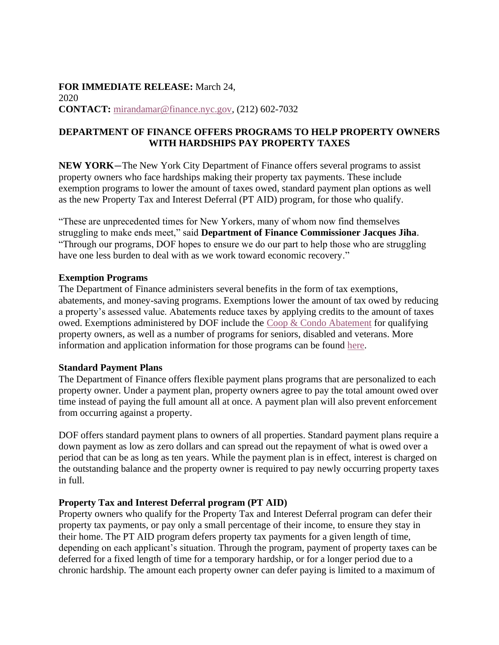# **FOR IMMEDIATE RELEASE:** March 24, 2020 **CONTACT:** [mirandamar@finance.nyc.gov,](mailto:mirandamar@finance.nyc.gov) (212) 602-7032

# **DEPARTMENT OF FINANCE OFFERS PROGRAMS TO HELP PROPERTY OWNERS WITH HARDSHIPS PAY PROPERTY TAXES**

**NEW YORK**—The New York City Department of Finance offers several programs to assist property owners who face hardships making their property tax payments. These include exemption programs to lower the amount of taxes owed, standard payment plan options as well as the new Property Tax and Interest Deferral (PT AID) program, for those who qualify.

"These are unprecedented times for New Yorkers, many of whom now find themselves struggling to make ends meet," said **Department of Finance Commissioner Jacques Jiha**. "Through our programs, DOF hopes to ensure we do our part to help those who are struggling have one less burden to deal with as we work toward economic recovery."

#### **Exemption Programs**

The Department of Finance administers several benefits in the form of tax exemptions, abatements, and money-saving programs. Exemptions lower the amount of tax owed by reducing a property's assessed value. Abatements reduce taxes by applying credits to the amount of taxes owed. Exemptions administered by DOF include the [Coop & Condo Abatement](https://gcc01.safelinks.protection.outlook.com/?url=https%3A%2F%2Fwww1.nyc.gov%2Fsite%2Ffinance%2Fbenefits%2Flandlords-coop-condo.page&data=02%7C01%7CRJoe%40records.nyc.gov%7C68ec8b838f714e6ade6b08d7d03fa585%7C32f56fc75f814e22a95b15da66513bef%7C0%7C0%7C637206844084534478&sdata=PFPuy115gLGm8sS0o%2Br3zQc%2BbhbY1tOF8wg%2FS7N%2FM5g%3D&reserved=0) for qualifying property owners, as well as a number of programs for seniors, disabled and veterans. More information and application information for those programs can be found [here.](https://gcc01.safelinks.protection.outlook.com/?url=https%3A%2F%2Fwww1.nyc.gov%2Fsite%2Ffinance%2Fbenefits%2Fbenefits.page&data=02%7C01%7CRJoe%40records.nyc.gov%7C68ec8b838f714e6ade6b08d7d03fa585%7C32f56fc75f814e22a95b15da66513bef%7C0%7C0%7C637206844084534478&sdata=dVia4%2F1MtJohL8bx34IZ9or9XO3X375sxT4skkybWdU%3D&reserved=0)

### **Standard Payment Plans**

The Department of Finance offers flexible payment plans programs that are personalized to each property owner. Under a payment plan, property owners agree to pay the total amount owed over time instead of paying the full amount all at once. A payment plan will also prevent enforcement from occurring against a property.

DOF offers standard payment plans to owners of all properties. Standard payment plans require a down payment as low as zero dollars and can spread out the repayment of what is owed over a period that can be as long as ten years. While the payment plan is in effect, interest is charged on the outstanding balance and the property owner is required to pay newly occurring property taxes in full.

### **Property Tax and Interest Deferral program (PT AID)**

Property owners who qualify for the Property Tax and Interest Deferral program can defer their property tax payments, or pay only a small percentage of their income, to ensure they stay in their home. The PT AID program defers property tax payments for a given length of time, depending on each applicant's situation. Through the program, payment of property taxes can be deferred for a fixed length of time for a temporary hardship, or for a longer period due to a chronic hardship. The amount each property owner can defer paying is limited to a maximum of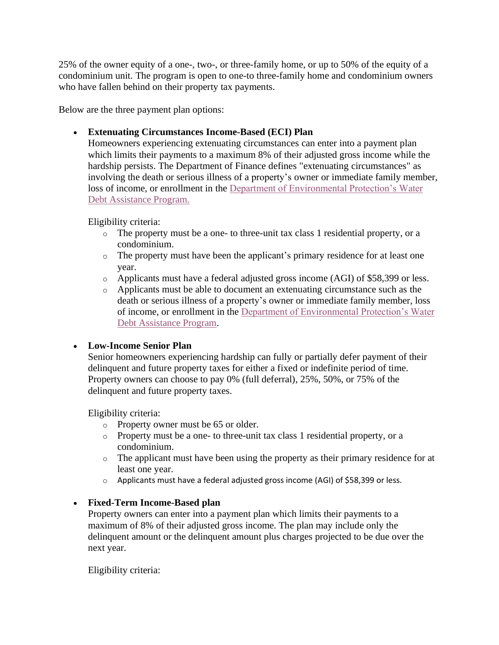25% of the owner equity of a one-, two-, or three-family home, or up to 50% of the equity of a condominium unit. The program is open to one-to three-family home and condominium owners who have fallen behind on their property tax payments.

Below are the three payment plan options:

# • **Extenuating Circumstances Income-Based (ECI) Plan**

Homeowners experiencing extenuating circumstances can enter into a payment plan which limits their payments to a maximum 8% of their adjusted gross income while the hardship persists. The Department of Finance defines "extenuating circumstances" as involving the death or serious illness of a property's owner or immediate family member, loss of income, or enrollment in the [Department of Environmental Protection's Water](https://gcc01.safelinks.protection.outlook.com/?url=https%3A%2F%2Fwww1.nyc.gov%2Fsite%2Fdep%2Fpay-my-bills%2Fwater-debt-assistance-program.page&data=02%7C01%7CRJoe%40records.nyc.gov%7C68ec8b838f714e6ade6b08d7d03fa585%7C32f56fc75f814e22a95b15da66513bef%7C0%7C0%7C637206844084544471&sdata=6OJfOZ1nboByrhgJQY7BY3g8pXPu%2BTRnF8ZmF3l25vQ%3D&reserved=0)  [Debt Assistance Program.](https://gcc01.safelinks.protection.outlook.com/?url=https%3A%2F%2Fwww1.nyc.gov%2Fsite%2Fdep%2Fpay-my-bills%2Fwater-debt-assistance-program.page&data=02%7C01%7CRJoe%40records.nyc.gov%7C68ec8b838f714e6ade6b08d7d03fa585%7C32f56fc75f814e22a95b15da66513bef%7C0%7C0%7C637206844084544471&sdata=6OJfOZ1nboByrhgJQY7BY3g8pXPu%2BTRnF8ZmF3l25vQ%3D&reserved=0)

Eligibility criteria:

- $\circ$  The property must be a one- to three-unit tax class 1 residential property, or a condominium.
- $\circ$  The property must have been the applicant's primary residence for at least one year.
- o Applicants must have a federal adjusted gross income (AGI) of \$58,399 or less.
- o Applicants must be able to document an extenuating circumstance such as the death or serious illness of a property's owner or immediate family member, loss of income, or enrollment in the [Department of Environmental Protection's Water](https://gcc01.safelinks.protection.outlook.com/?url=https%3A%2F%2Fwww1.nyc.gov%2Fsite%2Fdep%2Fpay-my-bills%2Fwater-debt-assistance-program.page&data=02%7C01%7CRJoe%40records.nyc.gov%7C68ec8b838f714e6ade6b08d7d03fa585%7C32f56fc75f814e22a95b15da66513bef%7C0%7C0%7C637206844084544471&sdata=6OJfOZ1nboByrhgJQY7BY3g8pXPu%2BTRnF8ZmF3l25vQ%3D&reserved=0)  [Debt Assistance Program.](https://gcc01.safelinks.protection.outlook.com/?url=https%3A%2F%2Fwww1.nyc.gov%2Fsite%2Fdep%2Fpay-my-bills%2Fwater-debt-assistance-program.page&data=02%7C01%7CRJoe%40records.nyc.gov%7C68ec8b838f714e6ade6b08d7d03fa585%7C32f56fc75f814e22a95b15da66513bef%7C0%7C0%7C637206844084544471&sdata=6OJfOZ1nboByrhgJQY7BY3g8pXPu%2BTRnF8ZmF3l25vQ%3D&reserved=0)

### • **Low-Income Senior Plan**

Senior homeowners experiencing hardship can fully or partially defer payment of their delinquent and future property taxes for either a fixed or indefinite period of time. Property owners can choose to pay 0% (full deferral), 25%, 50%, or 75% of the delinquent and future property taxes.

Eligibility criteria:

- o Property owner must be 65 or older.
- o Property must be a one- to three-unit tax class 1 residential property, or a condominium.
- o The applicant must have been using the property as their primary residence for at least one year.
- o Applicants must have a federal adjusted gross income (AGI) of \$58,399 or less.

# • **Fixed-Term Income-Based plan**

Property owners can enter into a payment plan which limits their payments to a maximum of 8% of their adjusted gross income. The plan may include only the delinquent amount or the delinquent amount plus charges projected to be due over the next year.

Eligibility criteria: